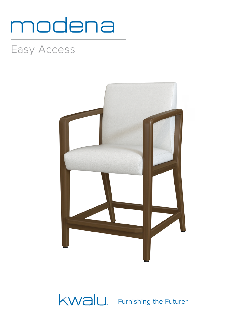## modena

## Easy Access



KWalu. Furnishing the Future